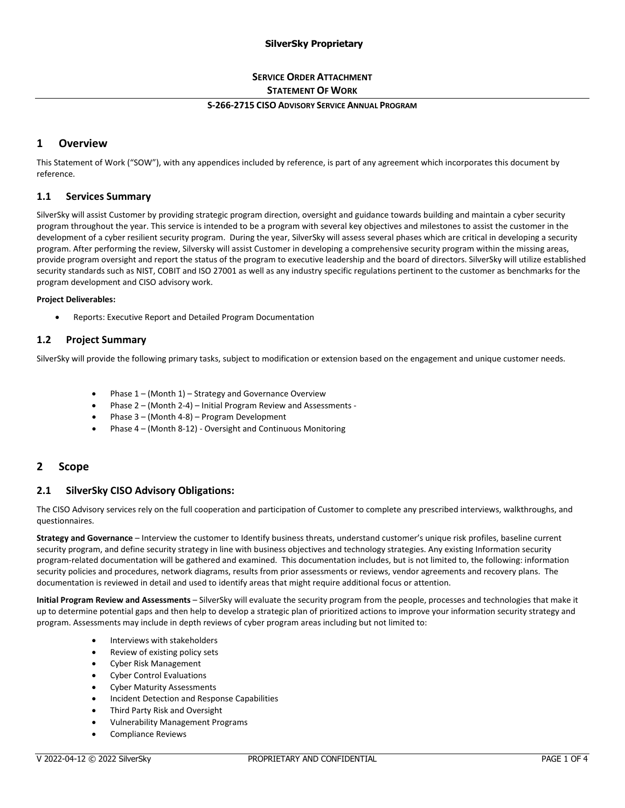## **SERVICE ORDER ATTACHMENT STATEMENT OF WORK**

#### **S-266-2715 CISO ADVISORY SERVICE ANNUAL PROGRAM**

## **1 Overview**

This Statement of Work ("SOW"), with any appendices included by reference, is part of any agreement which incorporates this document by reference.

#### **1.1 Services Summary**

SilverSky will assist Customer by providing strategic program direction, oversight and guidance towards building and maintain a cyber security program throughout the year. This service is intended to be a program with several key objectives and milestones to assist the customer in the development of a cyber resilient security program. During the year, SilverSky will assess several phases which are critical in developing a security program. After performing the review, Silversky will assist Customer in developing a comprehensive security program within the missing areas, provide program oversight and report the status of the program to executive leadership and the board of directors. SilverSky will utilize established security standards such as NIST, COBIT and ISO 27001 as well as any industry specific regulations pertinent to the customer as benchmarks for the program development and CISO advisory work.

#### **Project Deliverables:**

• Reports: Executive Report and Detailed Program Documentation

## **1.2 Project Summary**

SilverSky will provide the following primary tasks, subject to modification or extension based on the engagement and unique customer needs.

- Phase 1 (Month 1) Strategy and Governance Overview
- Phase 2 (Month 2-4) Initial Program Review and Assessments -
- Phase 3 (Month 4-8) Program Development
- Phase 4 (Month 8-12) Oversight and Continuous Monitoring

## **2 Scope**

## **2.1 SilverSky CISO Advisory Obligations:**

The CISO Advisory services rely on the full cooperation and participation of Customer to complete any prescribed interviews, walkthroughs, and questionnaires.

**Strategy and Governance** – Interview the customer to Identify business threats, understand customer's unique risk profiles, baseline current security program, and define security strategy in line with business objectives and technology strategies. Any existing Information security program-related documentation will be gathered and examined. This documentation includes, but is not limited to, the following: information security policies and procedures, network diagrams, results from prior assessments or reviews, vendor agreements and recovery plans. The documentation is reviewed in detail and used to identify areas that might require additional focus or attention.

**Initial Program Review and Assessments** – SilverSky will evaluate the security program from the people, processes and technologies that make it up to determine potential gaps and then help to develop a strategic plan of prioritized actions to improve your information security strategy and program. Assessments may include in depth reviews of cyber program areas including but not limited to:

- Interviews with stakeholders
- Review of existing policy sets
- Cyber Risk Management
- Cyber Control Evaluations
- Cyber Maturity Assessments
- Incident Detection and Response Capabilities
- Third Party Risk and Oversight
- Vulnerability Management Programs
- Compliance Reviews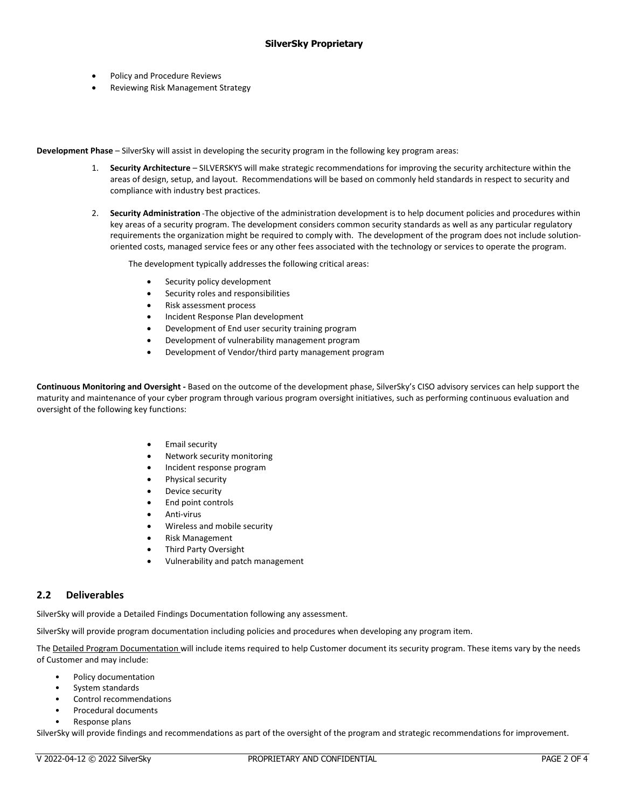- Policy and Procedure Reviews
- Reviewing Risk Management Strategy

**Development Phase** – SilverSky will assist in developing the security program in the following key program areas:

- 1. **Security Architecture** SILVERSKYS will make strategic recommendations for improving the security architecture within the areas of design, setup, and layout. Recommendations will be based on commonly held standards in respect to security and compliance with industry best practices.
- 2. **Security Administration** -The objective of the administration development is to help document policies and procedures within key areas of a security program. The development considers common security standards as well as any particular regulatory requirements the organization might be required to comply with. The development of the program does not include solutionoriented costs, managed service fees or any other fees associated with the technology or services to operate the program.

The development typically addresses the following critical areas:

- Security policy development
- Security roles and responsibilities
- Risk assessment process
- Incident Response Plan development
- Development of End user security training program
- Development of vulnerability management program
- Development of Vendor/third party management program

**Continuous Monitoring and Oversight -** Based on the outcome of the development phase, SilverSky's CISO advisory services can help support the maturity and maintenance of your cyber program through various program oversight initiatives, such as performing continuous evaluation and oversight of the following key functions:

- Email security
- Network security monitoring
- Incident response program
- Physical security
- Device security
- End point controls
- Anti-virus
- Wireless and mobile security
- Risk Management
- **Third Party Oversight**
- Vulnerability and patch management

## **2.2 Deliverables**

SilverSky will provide a Detailed Findings Documentation following any assessment.

SilverSky will provide program documentation including policies and procedures when developing any program item.

The Detailed Program Documentation will include items required to help Customer document its security program. These items vary by the needs of Customer and may include:

- Policy documentation
- System standards
- Control recommendations
- Procedural documents
- Response plans

SilverSky will provide findings and recommendations as part of the oversight of the program and strategic recommendations for improvement.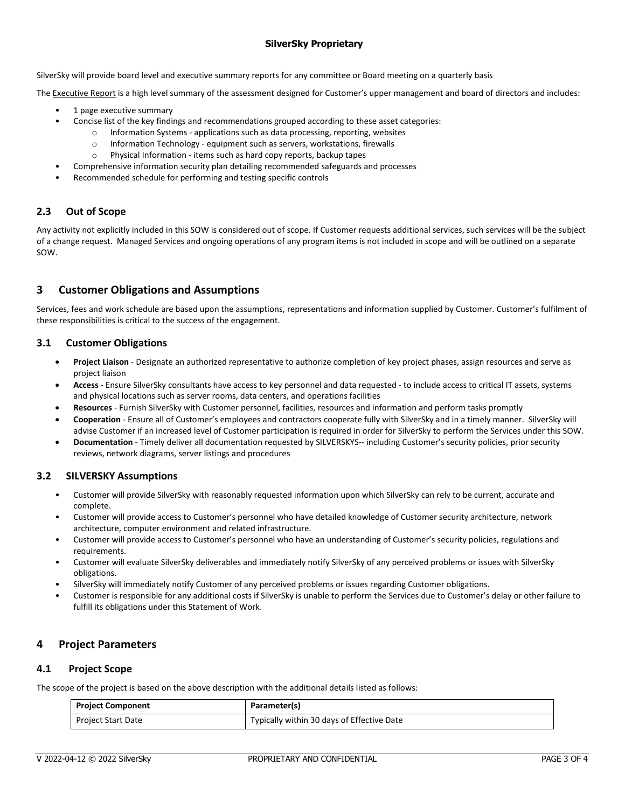SilverSky will provide board level and executive summary reports for any committee or Board meeting on a quarterly basis

The Executive Report is a high level summary of the assessment designed for Customer's upper management and board of directors and includes:

- 1 page executive summary
- Concise list of the key findings and recommendations grouped according to these asset categories:
	- $\circ$  Information Systems applications such as data processing, reporting, websites
	- o Information Technology equipment such as servers, workstations, firewalls
	- o Physical Information items such as hard copy reports, backup tapes
	- Comprehensive information security plan detailing recommended safeguards and processes
- Recommended schedule for performing and testing specific controls

## **2.3 Out of Scope**

Any activity not explicitly included in this SOW is considered out of scope. If Customer requests additional services, such services will be the subject of a change request. Managed Services and ongoing operations of any program items is not included in scope and will be outlined on a separate SOW.

# **3 Customer Obligations and Assumptions**

Services, fees and work schedule are based upon the assumptions, representations and information supplied by Customer. Customer's fulfilment of these responsibilities is critical to the success of the engagement.

#### **3.1 Customer Obligations**

- **Project Liaison** Designate an authorized representative to authorize completion of key project phases, assign resources and serve as project liaison
- **Access**  Ensure SilverSky consultants have access to key personnel and data requested to include access to critical IT assets, systems and physical locations such as server rooms, data centers, and operations facilities
- **Resources** Furnish SilverSky with Customer personnel, facilities, resources and information and perform tasks promptly
- **Cooperation** Ensure all of Customer's employees and contractors cooperate fully with SilverSky and in a timely manner. SilverSky will advise Customer if an increased level of Customer participation is required in order for SilverSky to perform the Services under this SOW.
- **Documentation** Timely deliver all documentation requested by SILVERSKYS-- including Customer's security policies, prior security reviews, network diagrams, server listings and procedures

## **3.2 SILVERSKY Assumptions**

- Customer will provide SilverSky with reasonably requested information upon which SilverSky can rely to be current, accurate and complete.
- Customer will provide access to Customer's personnel who have detailed knowledge of Customer security architecture, network architecture, computer environment and related infrastructure.
- Customer will provide access to Customer's personnel who have an understanding of Customer's security policies, regulations and requirements.
- Customer will evaluate SilverSky deliverables and immediately notify SilverSky of any perceived problems or issues with SilverSky obligations.
- SilverSky will immediately notify Customer of any perceived problems or issues regarding Customer obligations.
- Customer is responsible for any additional costs if SilverSky is unable to perform the Services due to Customer's delay or other failure to fulfill its obligations under this Statement of Work.

## **4 Project Parameters**

#### **4.1 Project Scope**

The scope of the project is based on the above description with the additional details listed as follows:

| <b>Project Component</b>  | Parameter(s)                               |
|---------------------------|--------------------------------------------|
| <b>Project Start Date</b> | Typically within 30 days of Effective Date |